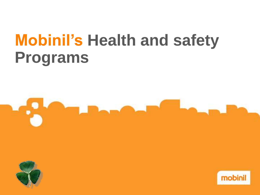# **Mobinil's Health and safety Programs**





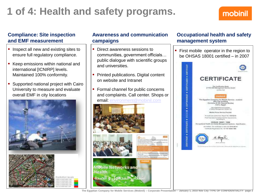## **Compliance: Site inspection and EMF measurement**

- **If** Inspect all new and existing sites to ensure full regulatory compliance.
- Keep emissions within national and international [ICNIRP] levels. Maintained 100% conformity.
- Supported national project with Cairo University to measure and evaluate overall EMF in city locations



melicalizars lavore



## **Awareness and communication campaigns**

- **Direct awareness sessions to** communities, government officials… public dialogue with scientific groups and universities.
- Printed publications. Digital content on website and Intranet
- **Formal channel for public concerns** and complaints. Call center. Shops or email: [environment@mobinil.com](mailto:environment@mobinil.com)



iealth شبكات المحمول والصحة

## **Occupational health and safety management system**

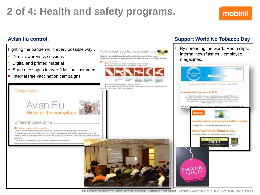Orange Labs

Fighting the pandemic in every possible way…

- Direct awareness sessions
- Digital and printed material

Different types of flu.

Classic, sessonal human flu.

affected.

- Short messages to over 2 Million customers
- **Internal free vaccination campaigns**

Avian Flu

This flu can be prevented by the classic, seasonal flu usocnistion.

Risks at the workplace

Washing your hands frequently and carefully is the most effective way of preventing the spread of gastro-enteritis. flu and other viral or bacterial infections. . Wet your hands and equeedy some liquid soap into Vour paint 1 Lating for at least 30 seconds, following the 6 shapes below . Firms this hands thoroughly up towards the wrids. . Dry the hunds and white thoroughly with a disposable ideal and use the tower to turn off the tap on that you don't boulf it with your hand. There is a flu opidemic every year due to the human form of the Influenza virus of the Orthomyxovirus genus. A relatively high number of people are affected by this apidemic and the severity varies according to virus mutation, the speed and extent of it, and inmunity levels in those

How to wash your hands properly

### **Avian flu control. Support World No Tobacco Day**

• By spreading the word.. Radio clips, internal newsflashes…employee magazines.



**The Egyptian Company for Mobile Services (Mobinil) – Corporate Presentation - January 1, 2010 Nile City TYPE OF CONFIDENTIALITY page 3**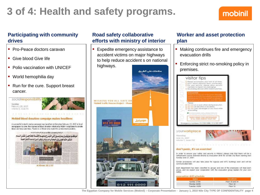### **Participating with community drives**

- **Pro-Peace doctors caravan**
- **Give blood Give life**
- **Polio vaccination with UNICEF**
- World hemophilia day
- Run for the cure. Support breast cancer.

socialresponsibility Sunday February 25, 2007 volume 8, issue 66



#### Mobinii blood donation campaign makes headlines

A successful in-depth media campaign was launched on Saturday February 17, 2007 in local newspapers to cover the impressive blood donation initiative by Mobinii employees to donate blood and help save lives. Thanks to all those who made this achievement coasible.

قَلْ الْمَمَتْ كَبْلَ تَطْمَئِهَا مُوسَمَلْ اسْتَقَالَتْهُ كَوَرَيْهُ مَعَ جُمَعَ لِلْعَلَى مَخْزَوَن الدخالي مص موظف وموبينييل بسارعسون إلى التبيرع بدمهيم لإنقياذ الحتاجيين لنقبل السدم للكثير حاثم الجبلي وزير الصحبة يرحب ويأمر يتوفير السيل للساعدة لإنجاح الخملة



### **Road safety collaborative efforts with ministry of interior**

**Expedite emergency assistance to** accident victims on major highways to help reduce accident s on national highways.



### **Worker and asset protection plan**

- Making continues fire and emergency evacuation drills
- **Enforcing strict no-smoking policy in** premises.



group, and we expect your cooperation with the evacuation group leaders for your own safety

| evacuation drill schedule<br><b>STOLEN</b> | <b>SOCOTION</b> |
|--------------------------------------------|-----------------|
| tiunday 17/06                              | Floor 20 and 34 |
| Monday 18/06                               | Floor 32        |
| Tuesday 19/06                              | Floor 31        |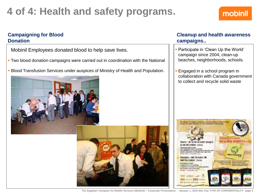### **Campaigning for Blood Donation**

Mobinil Employees donated blood to help save lives.

- Two blood donation campaigns were carried out in coordination with the National
- **Blood Transfusion Services under auspices of Ministry of Health and Population.**





### **Cleanup and health awareness campaigns..**

- Participate in 'Clean Up the World' campaign since 2004; clean-up beaches, neighborhoods, schools.
- Engaged in a school program in collaboration with Canada government to collect and recycle solid waste



**The Egyptian Company for Mobile Services (Mobinil) – Corporate Presentation - January 1, 2010 Nile City TYPE OF CONFIDENTIALITY page 5**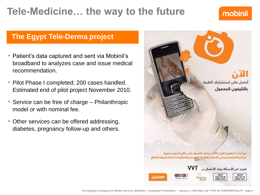## **Tele-Medicine… the way to the future**

## mobinil

## **The Egypt Tele-Derma project**

- Patient's data captured and sent via Mobinil's broadband to analyzes case and issue medical recommendation.
- Pilot Phase I completed; 200 cases handled. Estimated end of pilot project November 2010.
- Service can be free of charge Philanthropic model or with nominal fee.
- Other services can be offered addressing, diabetes, pregnancy follow-up and others.